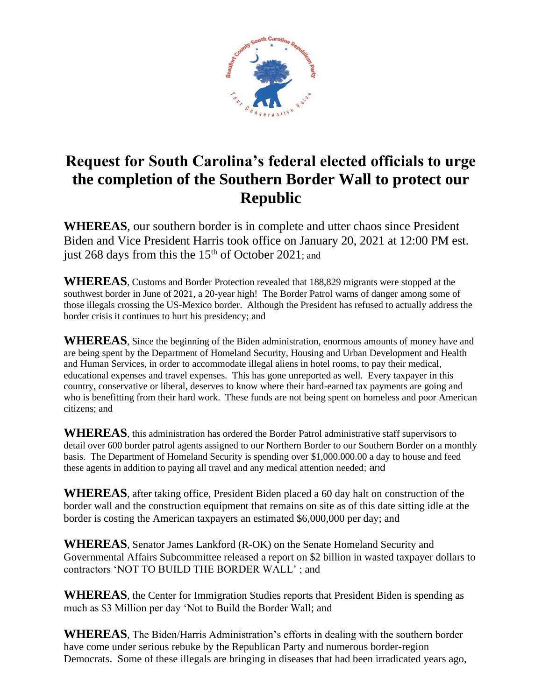

## **Request for South Carolina's federal elected officials to urge the completion of the Southern Border Wall to protect our Republic**

**WHEREAS**, our southern border is in complete and utter chaos since President Biden and Vice President Harris took office on January 20, 2021 at 12:00 PM est. just 268 days from this the  $15<sup>th</sup>$  of October 2021; and

**WHEREAS**, Customs and Border Protection revealed that 188,829 migrants were stopped at the southwest border in June of 2021, a 20-year high! The Border Patrol warns of danger among some of those illegals crossing the US-Mexico border. Although the President has refused to actually address the border crisis it continues to hurt his presidency; and

**WHEREAS**, Since the beginning of the Biden administration, enormous amounts of money have and are being spent by the Department of Homeland Security, Housing and Urban Development and Health and Human Services, in order to accommodate illegal aliens in hotel rooms, to pay their medical, educational expenses and travel expenses. This has gone unreported as well. Every taxpayer in this country, conservative or liberal, deserves to know where their hard-earned tax payments are going and who is benefitting from their hard work. These funds are not being spent on homeless and poor American citizens; and

**WHEREAS**, this administration has ordered the Border Patrol administrative staff supervisors to detail over 600 border patrol agents assigned to our Northern Border to our Southern Border on a monthly basis. The Department of Homeland Security is spending over \$1,000.000.00 a day to house and feed these agents in addition to paying all travel and any medical attention needed; and

**WHEREAS**, after taking office, President Biden placed a 60 day halt on construction of the border wall and the construction equipment that remains on site as of this date sitting idle at the border is costing the American taxpayers an estimated \$6,000,000 per day; and

**WHEREAS**, Senator James Lankford (R-OK) on the Senate Homeland Security and Governmental Affairs Subcommittee released a report on \$2 billion in wasted taxpayer dollars to contractors 'NOT TO BUILD THE BORDER WALL' ; and

**WHEREAS**, the Center for Immigration Studies reports that President Biden is spending as much as \$3 Million per day 'Not to Build the Border Wall; and

**WHEREAS**, The Biden/Harris Administration's efforts in dealing with the southern border have come under serious rebuke by the Republican Party and numerous border-region Democrats. Some of these illegals are bringing in diseases that had been irradicated years ago,